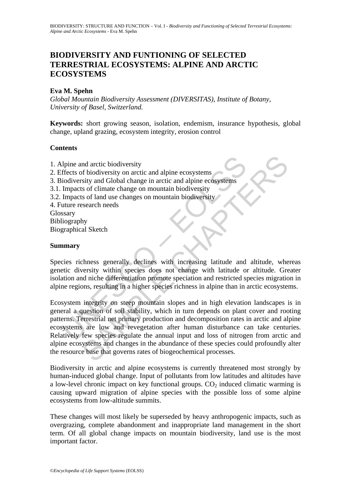# **BIODIVERSITY AND FUNTIONING OF SELECTED TERRESTRIAL ECOSYSTEMS: ALPINE AND ARCTIC ECOSYSTEMS**

### **Eva M. Spehn**

*Global Mountain Biodiversity Assessment (DIVERSITAS), Institute of Botany, University of Basel, Switzerland.* 

**Keywords:** short growing season, isolation, endemism, insurance hypothesis, global change, upland grazing, ecosystem integrity, erosion control

#### **Contents**

Upine and arctic biodiversity<br>
ffects of biodiversity on arctic and alpine ecosystems<br>
iodiversity and Global change in arctic and alpine ecosystems<br>
Impacts of climate change on mountain biodiversity<br>
Impacts of land use nd arctic biodiversity<br>of biodiversity on arctic and alpine ecosystems<br>sity and Global change in arctic and alpine ecosystems<br>sity and Global change in arctic and alpine ecosystems<br>so f land use changes on mountain biodive 1. Alpine and arctic biodiversity 2. Effects of biodiversity on arctic and alpine ecosystems 3. Biodiversity and Global change in arctic and alpine ecosystems 3.1. Impacts of climate change on mountain biodiversity 3.2. Impacts of land use changes on mountain biodiversity 4. Future research needs Glossary Bibliography Biographical Sketch

#### **Summary**

Species richness generally declines with increasing latitude and altitude, whereas genetic diversity within species does not change with latitude or altitude. Greater isolation and niche differentiation promote speciation and restricted species migration in alpine regions, resulting in a higher species richness in alpine than in arctic ecosystems.

Ecosystem integrity on steep mountain slopes and in high elevation landscapes is in general a question of soil stability, which in turn depends on plant cover and rooting patterns. Terrestrial net primary production and decomposition rates in arctic and alpine ecosystems are low and revegetation after human disturbance can take centuries. Relatively few species regulate the annual input and loss of nitrogen from arctic and alpine ecosystems and changes in the abundance of these species could profoundly alter the resource base that governs rates of biogeochemical processes.

Biodiversity in arctic and alpine ecosystems is currently threatened most strongly by human-induced global change. Input of pollutants from low latitudes and altitudes have a low-level chronic impact on key functional groups.  $CO<sub>2</sub>$  induced climatic warming is causing upward migration of alpine species with the possible loss of some alpine ecosystems from low-altitude summits.

These changes will most likely be superseded by heavy anthropogenic impacts, such as overgrazing, complete abandonment and inappropriate land management in the short term. Of all global change impacts on mountain biodiversity, land use is the most important factor.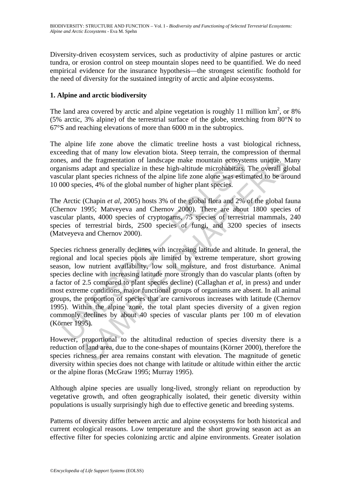Diversity-driven ecosystem services, such as productivity of alpine pastures or arctic tundra, or erosion control on steep mountain slopes need to be quantified. We do need empirical evidence for the insurance hypothesis—the strongest scientific foothold for the need of diversity for the sustained integrity of arctic and alpine ecosystems.

## **1. Alpine and arctic biodiversity**

The land area covered by arctic and alpine vegetation is roughly 11 million  $km^2$ , or 8% (5% arctic, 3% alpine) of the terrestrial surface of the globe, stretching from 80°N to 67°S and reaching elevations of more than 6000 m in the subtropics.

The alpine life zone above the climatic treeline hosts a vast biological richness, exceeding that of many low elevation biota. Steep terrain, the compression of thermal zones, and the fragmentation of landscape make mountain ecosystems unique. Many organisms adapt and specialize in these high-altitude microhabitats. The overall global vascular plant species richness of the alpine life zone alone was estimated to be around 10 000 species, 4% of the global number of higher plant species.

The Arctic (Chapin *et al*, 2005) hosts 3% of the global flora and 2% of the global fauna (Chernov 1995; Matveyeva and Chernov 2000). There are about 1800 species of vascular plants, 4000 species of cryptogams, 75 species of terrestrial mammals, 240 species of terrestrial birds, 2500 species of fungi, and 3200 species of insects (Matveyeva and Chernov 2000).

es, and the fragmentation of landscape make mountain ecosyst<br>unisms adapt and specialize in these high-altitude microhabitats,<br>ular plant species richness of the alpine life zone alone was estir<br>00 species, 4% of the globa the fragmentation of landscape make mountain ecosystems unique. We adapt and specialize in these high-altitude microhabitats. The overall glant species richness of the alpine life zone alone was estimated to be arcices, 4 Species richness generally declines with increasing latitude and altitude. In general, the regional and local species pools are limited by extreme temperature, short growing season, low nutrient availability, low soil moisture, and frost disturbance. Animal species decline with increasing latitude more strongly than do vascular plants (often by a factor of 2.5 compared to plant species decline) (Callaghan *et al*, in press) and under most extreme conditions, major functional groups of organisms are absent. In all animal groups, the proportion of species that are carnivorous increases with latitude (Chernov 1995). Within the alpine zone, the total plant species diversity of a given region commonly declines by about 40 species of vascular plants per 100 m of elevation (Körner 1995).

However, proportional to the altitudinal reduction of species diversity there is a reduction of land area, due to the cone-shapes of mountains (Körner 2000), therefore the species richness per area remains constant with elevation. The magnitude of genetic diversity within species does not change with latitude or altitude within either the arctic or the alpine floras (McGraw 1995; Murray 1995).

Although alpine species are usually long-lived, strongly reliant on reproduction by vegetative growth, and often geographically isolated, their genetic diversity within populations is usually surprisingly high due to effective genetic and breeding systems.

Patterns of diversity differ between arctic and alpine ecosystems for both historical and current ecological reasons. Low temperature and the short growing season act as an effective filter for species colonizing arctic and alpine environments. Greater isolation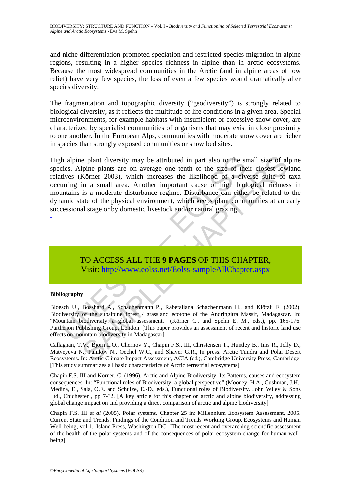and niche differentiation promoted speciation and restricted species migration in alpine regions, resulting in a higher species richness in alpine than in arctic ecosystems. Because the most widespread communities in the Arctic (and in alpine areas of low relief) have very few species, the loss of even a few species would dramatically alter species diversity.

The fragmentation and topographic diversity ("geodiversity") is strongly related to biological diversity, as it reflects the multitude of life conditions in a given area. Special microenvironments, for example habitats with insufficient or excessive snow cover, are characterized by specialist communities of organisms that may exist in close proximity to one another. In the European Alps, communities with moderate snow cover are richer in species than strongly exposed communities or snow bed sites.

h alpine plant diversity may be attributed in part also to the sries. Alpine plants are on average one tenth of the size of the<br>tives (Körner 2003), which increases the likelihood of a diversing in a small area. Another im e plant diversity may be attributed in part also to the small size of alp<br>ine plants are on average one tenth of the size of their closest low<br>Körner 2003), which increases the likelihood of a diverse suite of<br>in a small a High alpine plant diversity may be attributed in part also to the small size of alpine species. Alpine plants are on average one tenth of the size of their closest lowland relatives (Körner 2003), which increases the likelihood of a diverse suite of taxa occurring in a small area. Another important cause of high biological richness in mountains is a moderate disturbance regime. Disturbance can either be related to the dynamic state of the physical environment, which keeps plant communities at an early successional stage or by domestic livestock and/or natural grazing.

- -

-

## TO ACCESS ALL THE **9 PAGES** OF THIS CHAPTER, Visit: http://www.eolss.net/Eolss-sampleAllChapter.aspx

#### **Bibliography**

Bloesch U., Bosshard A., Schachenmann P., Rabetaliana Schachenmann H., and Klötzli F. (2002). Biodiversity of the subalpine forest / grassland ecotone of the Andringitra Massif, Madagascar. In: "Mountain biodiversity: a global assessment." (Körner C., and Spehn E. M., eds.), pp. 165-176. Parthenon Publishing Group, London. [This paper provides an assessment of recent and historic land use effects on mountain biodiversity in Madagascar]

Callaghan, T.V., Björn L.O., Chernov Y., Chapin F.S., III, Christensen T., Huntley B., Ims R., Jolly D., Matveyeva N., Panikov N., Oechel W.C., and Shaver G.R., In press. Arctic Tundra and Polar Desert Ecosystems. In: Arctic Climate Impact Assessment, ACIA (ed.), Cambridge University Press, Cambridge. [This study summarizes all basic characteristics of Arctic terrestrial ecosystems]

Chapin F.S. III and Körner, C. (1996). Arctic and Alpine Biodiversity: Its Patterns, causes and ecosystem consequences. In: "Functional roles of Biodiversity: a global perspective" (Mooney, H.A., Cushman, J.H., Medina, E., Sala, O.E. and Schulze, E.-D., eds.), Functional roles of Biodiversity. John Wiley & Sons Ltd., Chichester , pp 7-32. [A key article for this chapter on arctic and alpine biodiversity, addressing global change impact on and providing a direct comparison of arctic and alpine biodiversity]

Chapin F.S. III *et al* (2005). Polar systems. Chapter 25 in: Millennium Ecosystem Assessment, 2005. Current State and Trends: Findings of the Condition and Trends Working Group. Ecosystems and Human Well-being, vol.1., Island Press, Washington DC. [The most recent and overarching scientific assessment of the health of the polar systems and of the consequences of polar ecosystem change for human wellbeing]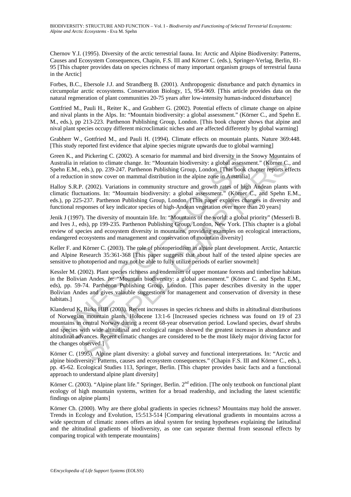Chernov Y.I. (1995). Diversity of the arctic terrestrial fauna. In: Arctic and Alpine Biodiversity: Patterns, Causes and Ecosystem Consequences, Chapin, F.S. III and Körner C. (eds.), Springer-Verlag, Berlin, 81- 95 [This chapter provides data on species richness of many important organism groups of terrestrial fauna in the Arctic]

Forbes, B.C., Ebersole J.J. and Strandberg B. (2001). Anthropogenic disturbance and patch dynamics in circumpolar arctic ecosystems. Conservation Biology, 15, 954-969. [This article provides data on the natural regeneration of plant communities 20-75 years after low-intensity human-induced disturbance]

Gottfried M., Pauli H., Reiter K., and Grabherr G. (2002). Potential effects of climate change on alpine and nival plants in the Alps. In: "Mountain biodiversity: a global assessment." (Körner C., and Spehn E. M., eds.), pp 213-223. Parthenon Publishing Group, London. [This book chapter shows that alpine and nival plant species occupy different microclimatic niches and are affected differently by global warming]

Grabherr W., Gottfried M., and Pauli H. (1994). Climate effects on mountain plants. Nature 369:448. [This study reported first evidence that alpine species migrate upwards due to global warming]

Green K., and Pickering C. (2002). A scenario for mammal and bird diversity in the Snowy Mountains of Australia in relation to climate change. In: "Mountain biodiversity: a global assessment." (Körner C., and Spehn E.M., eds.), pp. 239-247. Parthenon Publishing Group, London. [This book chapter reports effects of a reduction in snow cover on mammal distribution in the alpine zone in Australia]

Halloy S.R.P. (2002). Variations in community structure and growth rates of high Andean plants with climatic fluctuations. In: "Mountain biodiversity: a global assessment." (Körner C., and Spehn E.M., eds.), pp 225-237. Parthenon Publishing Group, London. [This paper explores changes in diversity and functional responses of key indicator species of high-Andean vegetation over more than 20 years]

Jenik J (1997). The diversity of mountain life. In: "Mountains of the world: a global priority" (Messerli B. and Ives J., eds), pp 199-235. Parthenon Publishing Group, London, New York. [This chapter is a global review of species and ecosystem diversity in mountains, providing examples on ecological interactions, endangered ecosystems and management and conservation of mountain diversity]

Keller F. and Körner C. (2003). The role of photoperiodism in alpine plant development. Arctic, Antarctic and Alpine Research 35:361-368 [This paper suggests that about half of the tested alpine species are sensitive to photoperiod and may not be able to fully utilize periods of earlier snowmelt]

Kessler M. (2002). Plant species richness and endemism of upper montane forests and timberline habitats in the Bolivian Andes. *In*: "Mountain biodiversity: a global assessment." (Körner C. and Spehn E.M., eds), pp. 59-74. Parthenon Publishing Group, London. [This paper describes diversity in the upper Bolivian Andes and gives valauble suggestions for management and conservation of diversity in these habitats.]

n K., and Pickering C. (2002). A scenaro for mammal and brid diversity in this, and helian in relation to climate change. In: "Mountain biodiversity: a global assessin E.M., eds.), pp. 239-247. Parthenon Publishing Group, Pickering C. (2002). A scenario for mammal and bird diversity in the Snowy Mountain<br>elation to climate change. In: "Mountain biodiversity: a global assessment." (Körner C.<br>eds.), pp. 239-247. Parthenon Publishing Group, L Klanderud K, Birks HJB (2003). Recent increases in species richness and shifts in altitudinal distributions of Norwegian mountain plants. Holocene 13:1-6 [Increased species richness was found on 19 of 23 mountains in central Norway during a recent 68-year observation period. Lowland species, dwarf shrubs and species with wide altitudinal and ecological ranges showed the greatest increases in abundance and altitudinal advances. Recent climatic changes are considered to be the most likely major driving factor for the changes observed.]

Körner C. (1995). Alpine plant diversity: a global survey and functional interpretations. In: "Arctic and alpine biodiversity: Patterns, causes and ecosystem consequences." (Chapin F.S. III and Körner C., eds.), pp. 45-62. Ecological Studies 113, Springer, Berlin. [This chapter provides basic facts and a functional approach to understand alpine plant diversity]

Körner C. (2003). "Alpine plant life." Springer, Berlin. 2<sup>nd</sup> edition. [The only textbook on functional plant ecology of high mountain systems, written for a broad readership, and including the latest scientific findings on alpine plants]

Körner Ch. (2000). Why are there global gradients in species richness? Mountains may hold the answer. Trends in Ecology and Evolution, 15:513-514 [Comparing elevational gradients in mountains across a wide spectrum of climatic zones offers an ideal system for testing hypotheses explaining the latitudinal and the altitudinal gradients of biodiversity, as one can separate thermal from seasonal effects by comparing tropical with temperate mountains]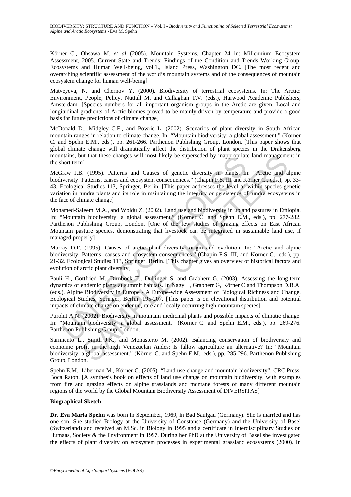Körner C., Ohsawa M. *et al* (2005). Mountain Systems. Chapter 24 in: Millennium Ecosystem Assessment, 2005. Current State and Trends: Findings of the Condition and Trends Working Group. Ecosystems and Human Well-being, vol.1., Island Press, Washington DC. [The most recent and overarching scientific assessment of the world's mountain systems and of the consequences of mountain ecosystem change for human well-being]

Matveyeva, N. and Chernov Y. (2000). Biodiversity of terrestrial ecosystems. In: The Arctic: Environment, People, Policy. Nuttall M. and Callaghan T.V. (eds.), Harwood Academic Publishers, Amsterdam. [Species numbers for all important organism groups in the Arctic are given. Local and longitudinal gradients of Arctic biomes proved to be mainly driven by temperature and provide a good basis for future predictions of climate change]

McDonald D., Midgley C.F., and Powrie L. (2002). Scenarios of plant diversity in South African mountain ranges in relation to climate change. In: "Mountain biodiversity: a global assessment." (Körner C. and Spehn E.M., eds.), pp. 261-266. Parthenon Publishing Group, London. [This paper shows that global climate change will dramatically affect the distribution of plant species in the Drakensberg mountains, but that these changes will most likely be superseded by inappropriate land management in the short term]

ntans, but that these changes will most likely be superseded by inappropriat<br>hont term]<br>hort term]<br>iraw J.B. (1995). Patterns and Causes of genetic diversity in plants. In<br>versity: Patterns, causes and ecosystem consequenc It that these changes will most likely be superseded by inappropriate land manageme<br>
11 (1995). Patterns and Causes of genetic diversity in plants. In: "Arctic and a<br>
Patterns, causes and coosystem consequences." (Chapin E McGraw J.B. (1995). Patterns and Causes of genetic diversity in plants. In: "Arctic and alpine biodiversity: Patterns, causes and ecosystem consequences." (Chapin F.S. III and Körner C., eds.), pp. 33-43. Ecological Studies 113, Springer, Berlin. [This paper addresses the level of within-species genetic variation in tundra plants and its role in maintaining the integrity or persistence of tundra ecosystems in the face of climate change]

Mohamed-Saleem M.A., and Woldu Z. (2002). Land use and biodiversity in upland pastures in Ethiopia. In: "Mountain biodiversity: a global assessment." (Körner C. and Spehn E.M., eds.), pp. 277-282. Parthenon Publishing Group, London. [One of the few studies of grazing effects on East African Mountain pasture species, demonstrating that livestock can be integrated in sustainable land use, if managed properly]

Murray D.F. (1995). Causes of arctic plant diversity: origin and evolution. In: "Arctic and alpine biodiversity: Patterns, causes and ecosystem consequences." (Chapin F.S. III, and Körner C., eds.), pp. 21-32. Ecological Studies 113, Springer, Berlin. [This chapter gives an overview of historical factors and evolution of arctic plant diversity]

Pauli H., Gottfried M., Dirnböck T., Dullinger S. and Grabherr G. (2003). Assessing the long-term dynamics of endemic plants at summit habitats. In Nagy L, Grabherr G, Körner C and Thompson D.B.A. (eds.). Alpine Biodiversity in Europe - A Europe-wide Assessment of Biological Richness and Change. Ecological Studies, Springer, Berlin: 195-207. [This paper is on elevational distribution and potential impacts of climate change on endemic, rare and locally occurring high mountain species]

Purohit A.N. (2002). Biodiversity in mountain medicinal plants and possible impacts of climatic change. In: "Mountain biodiversity: a global assessment." (Körner C. and Spehn E.M., eds.), pp. 269-276. Parthenon Publishing Group, London.

Sarmiento L., Smith J.K., and Monasterio M. (2002). Balancing conservation of biodiversity and economic profit in the high Venezuelan Andes: Is fallow agriculture an alternative? In: "Mountain biodiversity: a global assessment." (Körner C. and Spehn E.M., eds.), pp. 285-296. Parthenon Publishing Group, London.

Spehn E.M., Liberman M., Körner C. (2005). "Land use change and mountain biodiversity". CRC Press, Boca Raton. [A synthesis book on effects of land use change on mountain biodiversity, with examples from fire and grazing effects on alpine grasslands and montane forests of many different mountain regions of the world by the Global Mountain Biodiversity Assessment of DIVERSITAS]

#### **Biographical Sketch**

**Dr. Eva Maria Spehn** was born in September, 1969, in Bad Saulgau (Germany). She is married and has one son. She studied Biology at the University of Constance (Germany) and the University of Basel (Switzerland) and received an M.Sc. in Biology in 1995 and a certificate in Interdisciplinary Studies on Humans, Society & the Environment in 1997. During her PhD at the University of Basel she investigated the effects of plant diversity on ecosystem processes in experimental grassland ecosystems (2000). In